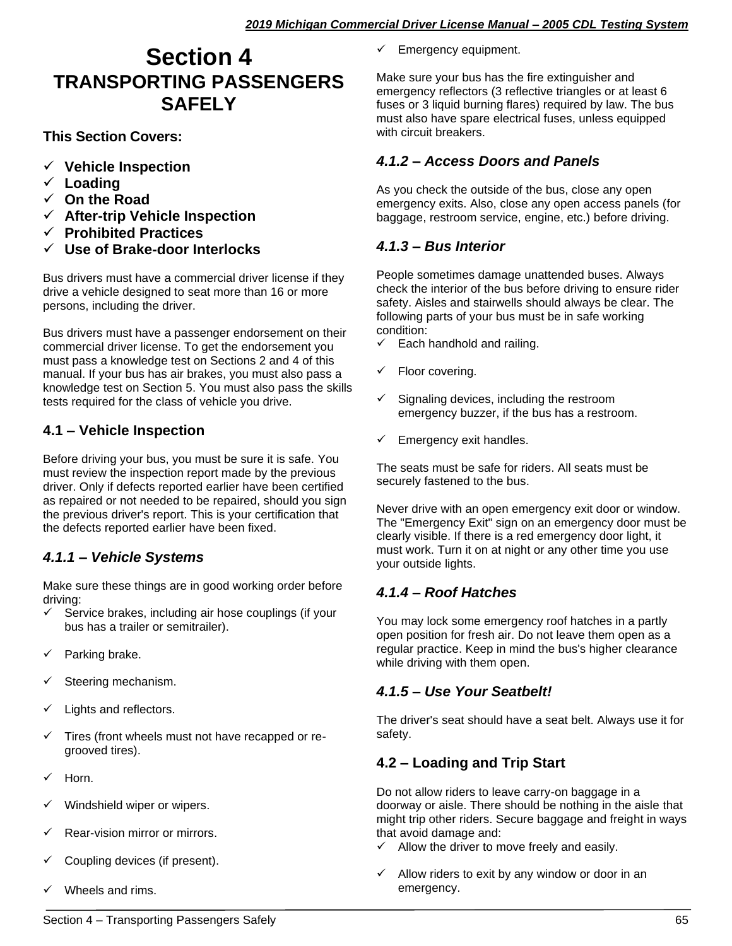# **Section 4 TRANSPORTING PASSENGERS SAFELY**

### **This Section Covers:**

- ✓ **Vehicle Inspection**
- ✓ **Loading**
- ✓ **On the Road**
- ✓ **After-trip Vehicle Inspection**
- ✓ **Prohibited Practices**
- ✓ **Use of Brake-door Interlocks**

Bus drivers must have a commercial driver license if they drive a vehicle designed to seat more than 16 or more persons, including the driver.

Bus drivers must have a passenger endorsement on their commercial driver license. To get the endorsement you must pass a knowledge test on Sections 2 and 4 of this manual. If your bus has air brakes, you must also pass a knowledge test on Section 5. You must also pass the skills tests required for the class of vehicle you drive.

## **4.1 – Vehicle Inspection**

Before driving your bus, you must be sure it is safe. You must review the inspection report made by the previous driver. Only if defects reported earlier have been certified as repaired or not needed to be repaired, should you sign the previous driver's report. This is your certification that the defects reported earlier have been fixed.

#### *4.1.1 – Vehicle Systems*

Make sure these things are in good working order before driving:

- $\checkmark$  Service brakes, including air hose couplings (if your bus has a trailer or semitrailer).
- $\checkmark$  Parking brake.
- ✓ Steering mechanism.
- Lights and reflectors.
- ✓ Tires (front wheels must not have recapped or regrooved tires).
- Horn.
- Windshield wiper or wipers.
- Rear-vision mirror or mirrors.
- Coupling devices (if present).
- $\checkmark$  Wheels and rims.

✓ Emergency equipment.

Make sure your bus has the fire extinguisher and emergency reflectors (3 reflective triangles or at least 6 fuses or 3 liquid burning flares) required by law. The bus must also have spare electrical fuses, unless equipped with circuit breakers.

#### *4.1.2 – Access Doors and Panels*

As you check the outside of the bus, close any open emergency exits. Also, close any open access panels (for baggage, restroom service, engine, etc.) before driving.

## *4.1.3 – Bus Interior*

People sometimes damage unattended buses. Always check the interior of the bus before driving to ensure rider safety. Aisles and stairwells should always be clear. The following parts of your bus must be in safe working condition:

- $\checkmark$  Each handhold and railing.
- Floor covering.
- Signaling devices, including the restroom emergency buzzer, if the bus has a restroom.
- $\checkmark$  Emergency exit handles.

The seats must be safe for riders. All seats must be securely fastened to the bus.

Never drive with an open emergency exit door or window. The "Emergency Exit" sign on an emergency door must be clearly visible. If there is a red emergency door light, it must work. Turn it on at night or any other time you use your outside lights.

#### *4.1.4 – Roof Hatches*

You may lock some emergency roof hatches in a partly open position for fresh air. Do not leave them open as a regular practice. Keep in mind the bus's higher clearance while driving with them open.

## *4.1.5 – Use Your Seatbelt!*

The driver's seat should have a seat belt. Always use it for safety.

## **4.2 – Loading and Trip Start**

Do not allow riders to leave carry-on baggage in a doorway or aisle. There should be nothing in the aisle that might trip other riders. Secure baggage and freight in ways that avoid damage and:

- $\checkmark$  Allow the driver to move freely and easily.
- $\checkmark$  Allow riders to exit by any window or door in an emergency.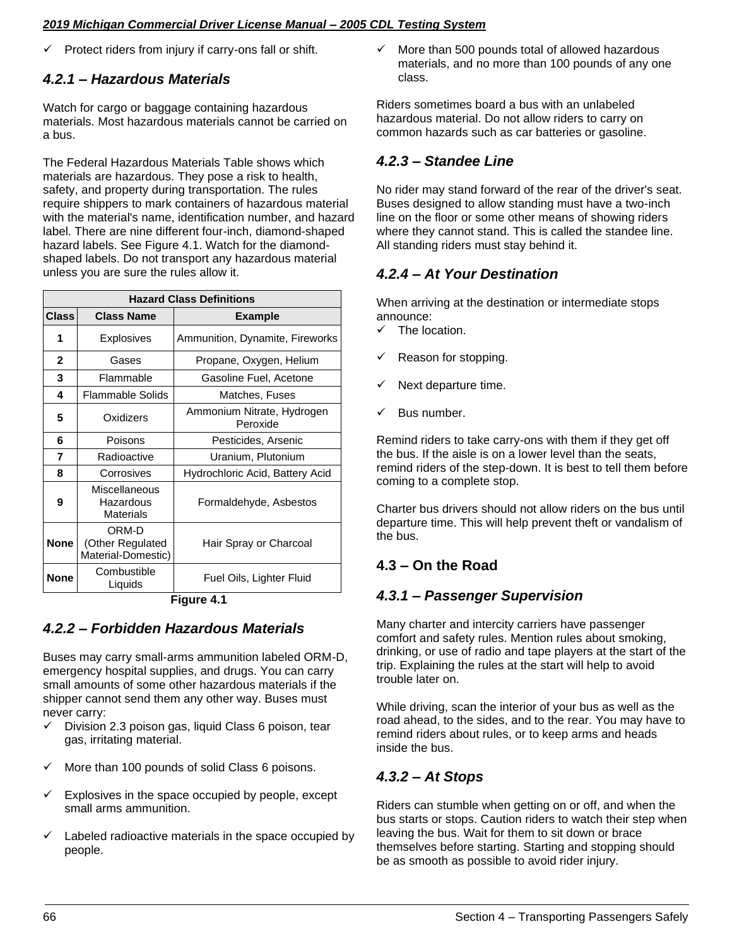#### *2019 Michigan Commercial Driver License Manual – 2005 CDL Testing System*

✓ Protect riders from injury if carry-ons fall or shift.

### *4.2.1 – Hazardous Materials*

Watch for cargo or baggage containing hazardous materials. Most hazardous materials cannot be carried on a bus.

The Federal Hazardous Materials Table shows which materials are hazardous. They pose a risk to health, safety, and property during transportation. The rules require shippers to mark containers of hazardous material with the material's name, identification number, and hazard label. There are nine different four-inch, diamond-shaped hazard labels. See Figure 4.1. Watch for the diamondshaped labels. Do not transport any hazardous material unless you are sure the rules allow it.

| <b>Hazard Class Definitions</b> |                                                 |                                        |
|---------------------------------|-------------------------------------------------|----------------------------------------|
| <b>Class</b>                    | <b>Class Name</b>                               | <b>Example</b>                         |
| 1                               | Explosives                                      | Ammunition, Dynamite, Fireworks        |
| $\mathbf{2}$                    | Gases                                           | Propane, Oxygen, Helium                |
| 3                               | Flammable                                       | Gasoline Fuel, Acetone                 |
| 4                               | Flammable Solids                                | Matches, Fuses                         |
| 5                               | Oxidizers                                       | Ammonium Nitrate, Hydrogen<br>Peroxide |
| 6                               | Poisons                                         | Pesticides, Arsenic                    |
| 7                               | Radioactive                                     | Uranium, Plutonium                     |
| 8                               | Corrosives                                      | Hydrochloric Acid, Battery Acid        |
| 9                               | Miscellaneous<br>Hazardous<br>Materials         | Formaldehyde, Asbestos                 |
| <b>None</b>                     | ORM-D<br>(Other Regulated<br>Material-Domestic) | Hair Spray or Charcoal                 |
| <b>None</b>                     | Combustible<br>Liquids                          | Fuel Oils, Lighter Fluid               |

**Figure 4.1**

#### *4.2.2 – Forbidden Hazardous Materials*

Buses may carry small-arms ammunition labeled ORM-D, emergency hospital supplies, and drugs. You can carry small amounts of some other hazardous materials if the shipper cannot send them any other way. Buses must never carry:<br>  $\checkmark$  Division

- Division 2.3 poison gas, liquid Class 6 poison, tear gas, irritating material.
- $\checkmark$  More than 100 pounds of solid Class 6 poisons.
- Explosives in the space occupied by people, except small arms ammunition.
- Labeled radioactive materials in the space occupied by people.

 $\checkmark$  More than 500 pounds total of allowed hazardous materials, and no more than 100 pounds of any one class.

Riders sometimes board a bus with an unlabeled hazardous material. Do not allow riders to carry on common hazards such as car batteries or gasoline.

#### *4.2.3 – Standee Line*

No rider may stand forward of the rear of the driver's seat. Buses designed to allow standing must have a two-inch line on the floor or some other means of showing riders where they cannot stand. This is called the standee line. All standing riders must stay behind it.

### *4.2.4 – At Your Destination*

When arriving at the destination or intermediate stops announce:

- ✓ The location.
- $\checkmark$  Reason for stopping.
- Next departure time.
- Bus number.

Remind riders to take carry-ons with them if they get off the bus. If the aisle is on a lower level than the seats, remind riders of the step-down. It is best to tell them before coming to a complete stop.

Charter bus drivers should not allow riders on the bus until departure time. This will help prevent theft or vandalism of the bus.

## **4.3 – On the Road**

#### *4.3.1 – Passenger Supervision*

Many charter and intercity carriers have passenger comfort and safety rules. Mention rules about smoking, drinking, or use of radio and tape players at the start of the trip. Explaining the rules at the start will help to avoid trouble later on.

While driving, scan the interior of your bus as well as the road ahead, to the sides, and to the rear. You may have to remind riders about rules, or to keep arms and heads inside the bus.

#### *4.3.2 – At Stops*

Riders can stumble when getting on or off, and when the bus starts or stops. Caution riders to watch their step when leaving the bus. Wait for them to sit down or brace themselves before starting. Starting and stopping should be as smooth as possible to avoid rider injury.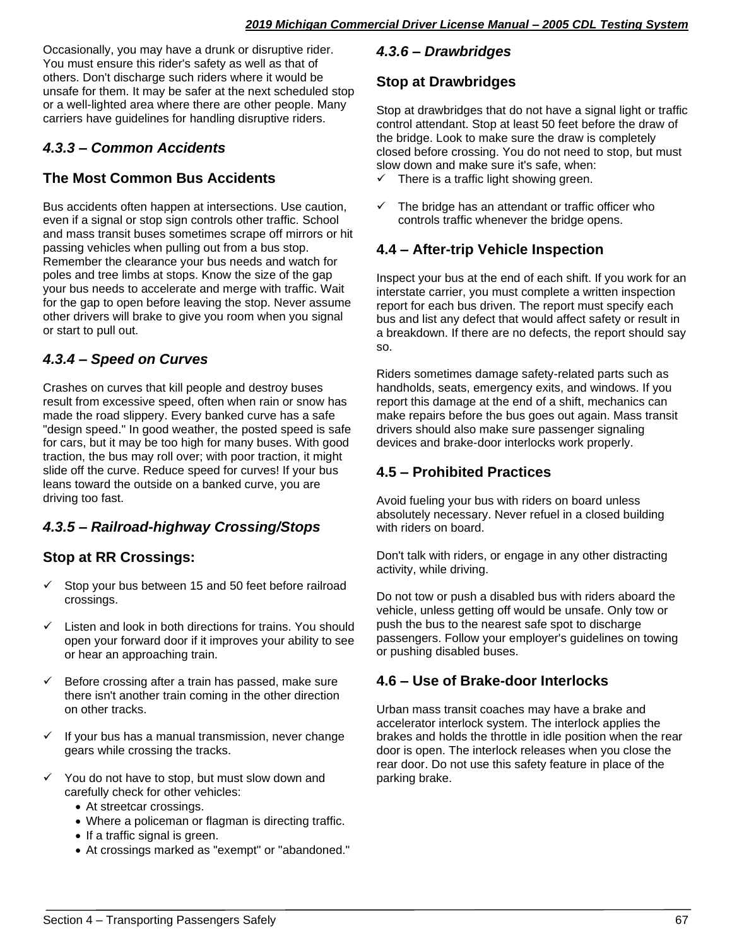Occasionally, you may have a drunk or disruptive rider. You must ensure this rider's safety as well as that of others. Don't discharge such riders where it would be unsafe for them. It may be safer at the next scheduled stop or a well-lighted area where there are other people. Many carriers have guidelines for handling disruptive riders.

# *4.3.3 – Common Accidents*

# **The Most Common Bus Accidents**

Bus accidents often happen at intersections. Use caution, even if a signal or stop sign controls other traffic. School and mass transit buses sometimes scrape off mirrors or hit passing vehicles when pulling out from a bus stop. Remember the clearance your bus needs and watch for poles and tree limbs at stops. Know the size of the gap your bus needs to accelerate and merge with traffic. Wait for the gap to open before leaving the stop. Never assume other drivers will brake to give you room when you signal or start to pull out.

# *4.3.4 – Speed on Curves*

Crashes on curves that kill people and destroy buses result from excessive speed, often when rain or snow has made the road slippery. Every banked curve has a safe "design speed." In good weather, the posted speed is safe for cars, but it may be too high for many buses. With good traction, the bus may roll over; with poor traction, it might slide off the curve. Reduce speed for curves! If your bus leans toward the outside on a banked curve, you are driving too fast.

# *4.3.5 – Railroad-highway Crossing/Stops*

# **Stop at RR Crossings:**

- ✓ Stop your bus between 15 and 50 feet before railroad crossings.
- ✓ Listen and look in both directions for trains. You should open your forward door if it improves your ability to see or hear an approaching train.
- $\checkmark$  Before crossing after a train has passed, make sure there isn't another train coming in the other direction on other tracks.
- ✓ If your bus has a manual transmission, never change gears while crossing the tracks.
- ✓ You do not have to stop, but must slow down and carefully check for other vehicles:
	- At streetcar crossings.
	- Where a policeman or flagman is directing traffic.
	- If a traffic signal is green.
	- At crossings marked as "exempt" or "abandoned."

# *4.3.6 – Drawbridges*

## **Stop at Drawbridges**

Stop at drawbridges that do not have a signal light or traffic control attendant. Stop at least 50 feet before the draw of the bridge. Look to make sure the draw is completely closed before crossing. You do not need to stop, but must slow down and make sure it's safe, when:

- $\checkmark$  There is a traffic light showing green.
- $\checkmark$  The bridge has an attendant or traffic officer who controls traffic whenever the bridge opens.

# **4.4 – After-trip Vehicle Inspection**

Inspect your bus at the end of each shift. If you work for an interstate carrier, you must complete a written inspection report for each bus driven. The report must specify each bus and list any defect that would affect safety or result in a breakdown. If there are no defects, the report should say so.

Riders sometimes damage safety-related parts such as handholds, seats, emergency exits, and windows. If you report this damage at the end of a shift, mechanics can make repairs before the bus goes out again. Mass transit drivers should also make sure passenger signaling devices and brake-door interlocks work properly.

# **4.5 – Prohibited Practices**

Avoid fueling your bus with riders on board unless absolutely necessary. Never refuel in a closed building with riders on board.

Don't talk with riders, or engage in any other distracting activity, while driving.

Do not tow or push a disabled bus with riders aboard the vehicle, unless getting off would be unsafe. Only tow or push the bus to the nearest safe spot to discharge passengers. Follow your employer's guidelines on towing or pushing disabled buses.

# **4.6 – Use of Brake-door Interlocks**

Urban mass transit coaches may have a brake and accelerator interlock system. The interlock applies the brakes and holds the throttle in idle position when the rear door is open. The interlock releases when you close the rear door. Do not use this safety feature in place of the parking brake.